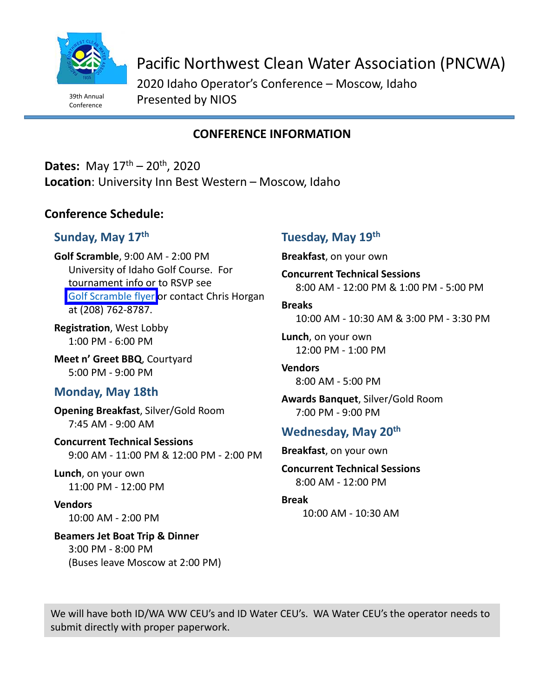

Conference

Pacific Northwest Clean Water Association (PNCWA) 2020 Idaho Operator's Conference – Moscow, Idaho 39th Annual **Presented by NIOS** 

## **CONFERENCE INFORMATION**

Dates: May  $17<sup>th</sup> - 20<sup>th</sup>$ , 2020 **Location**: University Inn Best Western – Moscow, Idaho

#### **Conference Schedule:**

## **Sunday, May 17 th**

**Golf Scramble**, 9:00 AM ‐ 2:00 PM University of Idaho Golf Course. For tournament info or to RSVP see Golf [Scramble](http://nios.pncwa.org/uploads/7/5/0/8/7508275/2020_golf_scramble_flyer.pdf) flyer or contact Chris Horgan at (208) 762‐8787.

**Registration**, West Lobby 1:00 PM ‐ 6:00 PM

**Meet n' Greet BBQ**, Courtyard 5:00 PM ‐ 9:00 PM

#### **Monday, May 18th**

**Opening Breakfast**, Silver/Gold Room 7:45 AM ‐ 9:00 AM

**Concurrent Technical Sessions** 9:00 AM ‐ 11:00 PM & 12:00 PM ‐ 2:00 PM

**Lunch**, on your own 11:00 PM ‐ 12:00 PM

**Vendors** 10:00 AM ‐ 2:00 PM

**Beamers Jet Boat Trip & Dinner** 3:00 PM ‐ 8:00 PM (Buses leave Moscow at 2:00 PM)

### **Tuesday, May 19th**

**Breakfast**, on your own

**Concurrent Technical Sessions** 8:00 AM ‐ 12:00 PM & 1:00 PM ‐ 5:00 PM

**Breaks** 10:00 AM ‐ 10:30 AM & 3:00 PM ‐ 3:30 PM

**Lunch**, on your own 12:00 PM ‐ 1:00 PM

**Vendors** 8:00 AM ‐ 5:00 PM

**Awards Banquet**, Silver/Gold Room 7:00 PM ‐ 9:00 PM

### **Wednesday, May 20 th**

**Breakfast**, on your own

**Concurrent Technical Sessions** 8:00 AM ‐ 12:00 PM

#### **Break**

10:00 AM ‐ 10:30 AM

We will have both ID/WA WW CEU's and ID Water CEU's. WA Water CEU's the operator needs to submit directly with proper paperwork.